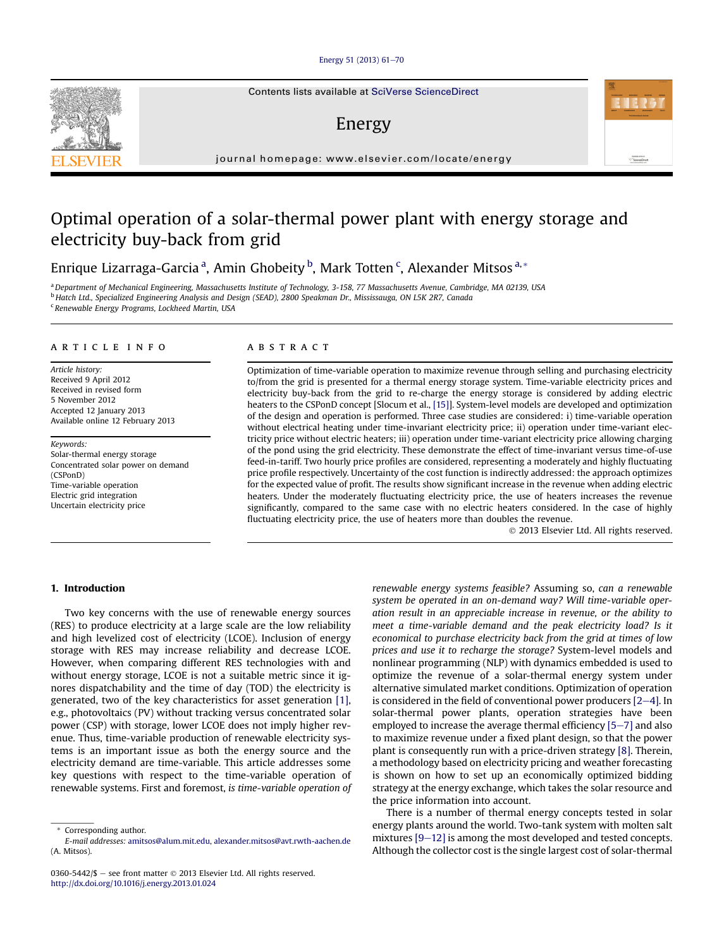#### [Energy 51 \(2013\) 61](http://dx.doi.org/10.1016/j.energy.2013.01.024)-[70](http://dx.doi.org/10.1016/j.energy.2013.01.024)

Contents lists available at SciVerse ScienceDirect

### Energy

journal homepage: [www.elsevier.com/locate/energy](http://www.elsevier.com/locate/energy)

## Optimal operation of a solar-thermal power plant with energy storage and electricity buy-back from grid

Enrique Lizarraga-Garcia <sup>a</sup>, Amin Ghobeity <sup>b</sup>, Mark Totten <sup>c</sup>, Alexander Mitsos <sup>a,</sup> \*

a Department of Mechanical Engineering, Massachusetts Institute of Technology, 3-158, 77 Massachusetts Avenue, Cambridge, MA 02139, USA <sup>b</sup> Hatch Ltd., Specialized Engineering Analysis and Design (SEAD), 2800 Speakman Dr., Mississauga, ON L5K 2R7, Canada <sup>c</sup> Renewable Energy Programs, Lockheed Martin, USA

#### article info

Article history: Received 9 April 2012 Received in revised form 5 November 2012 Accepted 12 January 2013 Available online 12 February 2013

Keywords: Solar-thermal energy storage Concentrated solar power on demand (CSPonD) Time-variable operation Electric grid integration Uncertain electricity price

#### **ABSTRACT**

Optimization of time-variable operation to maximize revenue through selling and purchasing electricity to/from the grid is presented for a thermal energy storage system. Time-variable electricity prices and electricity buy-back from the grid to re-charge the energy storage is considered by adding electric heaters to the CSPonD concept [Slocum et al., [15]]. System-level models are developed and optimization of the design and operation is performed. Three case studies are considered: i) time-variable operation without electrical heating under time-invariant electricity price; ii) operation under time-variant electricity price without electric heaters; iii) operation under time-variant electricity price allowing charging of the pond using the grid electricity. These demonstrate the effect of time-invariant versus time-of-use feed-in-tariff. Two hourly price profiles are considered, representing a moderately and highly fluctuating price profile respectively. Uncertainty of the cost function is indirectly addressed: the approach optimizes for the expected value of profit. The results show significant increase in the revenue when adding electric heaters. Under the moderately fluctuating electricity price, the use of heaters increases the revenue significantly, compared to the same case with no electric heaters considered. In the case of highly fluctuating electricity price, the use of heaters more than doubles the revenue.

2013 Elsevier Ltd. All rights reserved.

#### 1. Introduction

Two key concerns with the use of renewable energy sources (RES) to produce electricity at a large scale are the low reliability and high levelized cost of electricity (LCOE). Inclusion of energy storage with RES may increase reliability and decrease LCOE. However, when comparing different RES technologies with and without energy storage, LCOE is not a suitable metric since it ignores dispatchability and the time of day (TOD) the electricity is generated, two of the key characteristics for asset generation [1], e.g., photovoltaics (PV) without tracking versus concentrated solar power (CSP) with storage, lower LCOE does not imply higher revenue. Thus, time-variable production of renewable electricity systems is an important issue as both the energy source and the electricity demand are time-variable. This article addresses some key questions with respect to the time-variable operation of renewable systems. First and foremost, is time-variable operation of renewable energy systems feasible? Assuming so, can a renewable system be operated in an on-demand way? Will time-variable operation result in an appreciable increase in revenue, or the ability to meet a time-variable demand and the peak electricity load? Is it economical to purchase electricity back from the grid at times of low prices and use it to recharge the storage? System-level models and nonlinear programming (NLP) with dynamics embedded is used to optimize the revenue of a solar-thermal energy system under alternative simulated market conditions. Optimization of operation is considered in the field of conventional power producers  $[2-4]$ . In solar-thermal power plants, operation strategies have been employed to increase the average thermal efficiency  $[5-7]$  and also to maximize revenue under a fixed plant design, so that the power plant is consequently run with a price-driven strategy [8]. Therein, a methodology based on electricity pricing and weather forecasting is shown on how to set up an economically optimized bidding strategy at the energy exchange, which takes the solar resource and the price information into account.

There is a number of thermal energy concepts tested in solar energy plants around the world. Two-tank system with molten salt mixtures  $[9-12]$  is among the most developed and tested concepts. Although the collector cost is the single largest cost of solar-thermal





Corresponding author.

E-mail addresses: [amitsos@alum.mit.edu,](mailto:amitsos@alum.mit.edu) [alexander.mitsos@avt.rwth-aachen.de](mailto:alexander.mitsos@avt.rwth-aachen.de) (A. Mitsos).

<sup>0360-5442/\$ -</sup> see front matter  $\odot$  2013 Elsevier Ltd. All rights reserved. <http://dx.doi.org/10.1016/j.energy.2013.01.024>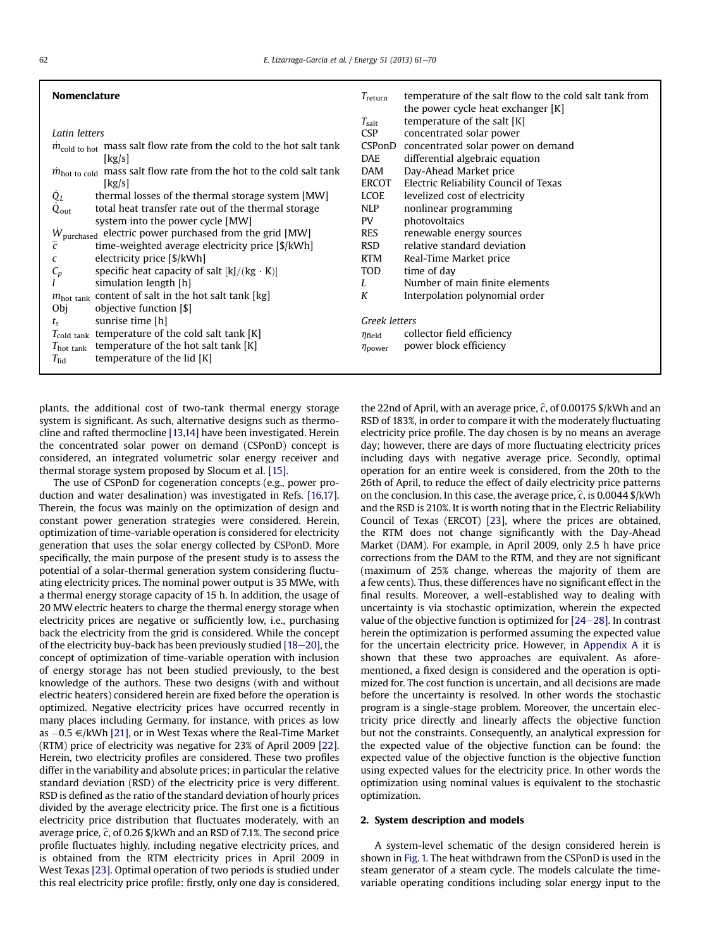| <b>Nomenclature</b>                                                                   | temperature of the salt flow to the cold salt tank from<br>$T_{\text{return}}$ |
|---------------------------------------------------------------------------------------|--------------------------------------------------------------------------------|
|                                                                                       | the power cycle heat exchanger [K]                                             |
|                                                                                       | temperature of the salt $[K]$<br>$T_{\rm salt}$                                |
| Latin letters                                                                         | <b>CSP</b><br>concentrated solar power                                         |
| $\dot{m}_{\text{cold to hot}}$ mass salt flow rate from the cold to the hot salt tank | CSPonD<br>concentrated solar power on demand                                   |
| [kg/s]                                                                                | differential algebraic equation<br><b>DAE</b>                                  |
| $\dot{m}_{hot\ to\ cold}$ mass salt flow rate from the hot to the cold salt tank      | Day-Ahead Market price<br><b>DAM</b>                                           |
| $\lfloor \frac{kg}{s} \rfloor$                                                        | Electric Reliability Council of Texas<br><b>ERCOT</b>                          |
| thermal losses of the thermal storage system [MW]<br>$Q_L$                            | LCOE<br>levelized cost of electricity                                          |
| total heat transfer rate out of the thermal storage<br>$Q_{\text{out}}$               | <b>NLP</b><br>nonlinear programming                                            |
| system into the power cycle [MW]                                                      | photovoltaics<br>PV                                                            |
| $W_{\text{purchased}}$ electric power purchased from the grid [MW]                    | renewable energy sources<br><b>RES</b>                                         |
| ĉ<br>time-weighted average electricity price [\$/kWh]                                 | relative standard deviation<br><b>RSD</b>                                      |
| electricity price [\$/kWh]                                                            | <b>RTM</b><br>Real-Time Market price                                           |
| specific heat capacity of salt $[k]/(kg \cdot K)]$<br>$C_p$                           | <b>TOD</b><br>time of day                                                      |
| simulation length [h]                                                                 | Number of main finite elements<br>L                                            |
| $m_{\text{hot tank}}$ content of salt in the hot salt tank [kg]                       | K<br>Interpolation polynomial order                                            |
| Obj<br>objective function [\$]                                                        |                                                                                |
| sunrise time [h]<br>$t_{\rm s}$                                                       | Greek letters                                                                  |
| $T_{\text{cold tank}}$ temperature of the cold salt tank [K]                          | collector field efficiency<br>$\eta_{\text{field}}$                            |
| temperature of the hot salt tank [K]<br>$T_{\rm hot}$ tank                            | power block efficiency<br>$\eta$ <sub>power</sub>                              |
| temperature of the lid $[K]$<br>$T_{\rm lid}$                                         |                                                                                |
|                                                                                       |                                                                                |

plants, the additional cost of two-tank thermal energy storage system is significant. As such, alternative designs such as thermocline and rafted thermocline [13,14] have been investigated. Herein the concentrated solar power on demand (CSPonD) concept is considered, an integrated volumetric solar energy receiver and thermal storage system proposed by Slocum et al. [15].

The use of CSPonD for cogeneration concepts (e.g., power production and water desalination) was investigated in Refs. [16,17]. Therein, the focus was mainly on the optimization of design and constant power generation strategies were considered. Herein, optimization of time-variable operation is considered for electricity generation that uses the solar energy collected by CSPonD. More specifically, the main purpose of the present study is to assess the potential of a solar-thermal generation system considering fluctuating electricity prices. The nominal power output is 35 MWe, with a thermal energy storage capacity of 15 h. In addition, the usage of 20 MW electric heaters to charge the thermal energy storage when electricity prices are negative or sufficiently low, i.e., purchasing back the electricity from the grid is considered. While the concept of the electricity buy-back has been previously studied  $[18-20]$ , the concept of optimization of time-variable operation with inclusion of energy storage has not been studied previously, to the best knowledge of the authors. These two designs (with and without electric heaters) considered herein are fixed before the operation is optimized. Negative electricity prices have occurred recently in many places including Germany, for instance, with prices as low as  $-0.5 \in$  /kWh [21], or in West Texas where the Real-Time Market (RTM) price of electricity was negative for 23% of April 2009 [22]. Herein, two electricity profiles are considered. These two profiles differ in the variability and absolute prices; in particular the relative standard deviation (RSD) of the electricity price is very different. RSD is defined as the ratio of the standard deviation of hourly prices divided by the average electricity price. The first one is a fictitious electricity price distribution that fluctuates moderately, with an average price,  $\hat{c}$ , of 0.26 \$/kWh and an RSD of 7.1%. The second price profile fluctuates highly, including negative electricity prices, and is obtained from the RTM electricity prices in April 2009 in West Texas [23]. Optimal operation of two periods is studied under this real electricity price profile: firstly, only one day is considered, the 22nd of April, with an average price,  $\hat{c}$ , of 0.00175 \$/kWh and an RSD of 183%, in order to compare it with the moderately fluctuating electricity price profile. The day chosen is by no means an average day; however, there are days of more fluctuating electricity prices including days with negative average price. Secondly, optimal operation for an entire week is considered, from the 20th to the 26th of April, to reduce the effect of daily electricity price patterns on the conclusion. In this case, the average price,  $\hat{c}$ , is 0.0044 \$/kWh and the RSD is 210%. It is worth noting that in the Electric Reliability Council of Texas (ERCOT) [23], where the prices are obtained, the RTM does not change significantly with the Day-Ahead Market (DAM). For example, in April 2009, only 2.5 h have price corrections from the DAM to the RTM, and they are not significant (maximum of 25% change, whereas the majority of them are a few cents). Thus, these differences have no significant effect in the final results. Moreover, a well-established way to dealing with uncertainty is via stochastic optimization, wherein the expected value of the objective function is optimized for  $[24-28]$ . In contrast herein the optimization is performed assuming the expected value for the uncertain electricity price. However, in Appendix A it is shown that these two approaches are equivalent. As aforementioned, a fixed design is considered and the operation is optimized for. The cost function is uncertain, and all decisions are made before the uncertainty is resolved. In other words the stochastic program is a single-stage problem. Moreover, the uncertain electricity price directly and linearly affects the objective function but not the constraints. Consequently, an analytical expression for the expected value of the objective function can be found: the expected value of the objective function is the objective function using expected values for the electricity price. In other words the optimization using nominal values is equivalent to the stochastic optimization.

#### 2. System description and models

A system-level schematic of the design considered herein is shown in Fig. 1. The heat withdrawn from the CSPonD is used in the steam generator of a steam cycle. The models calculate the timevariable operating conditions including solar energy input to the